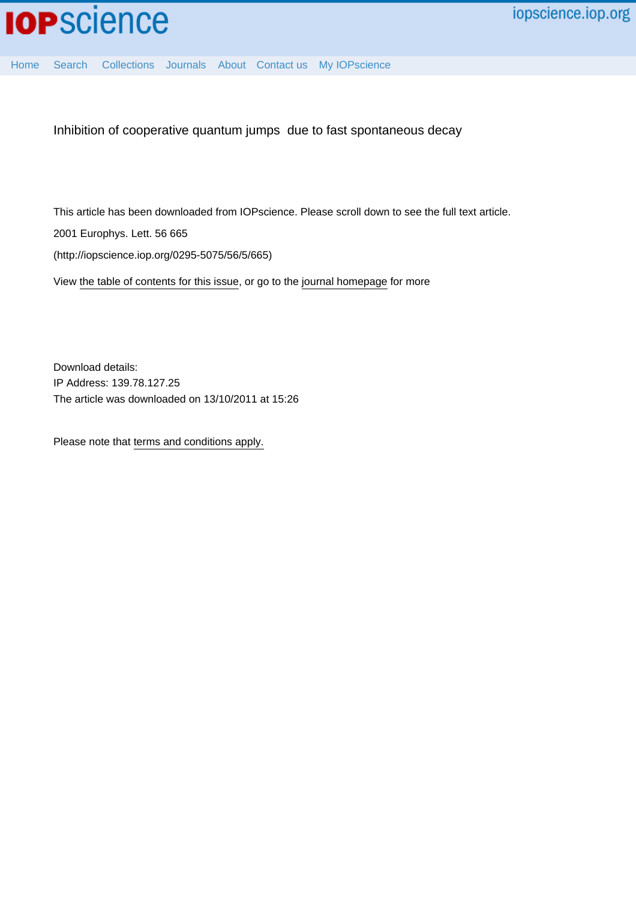

[Home](http://iopscience.iop.org/) [Search](http://iopscience.iop.org/search) [Collections](http://iopscience.iop.org/collections) [Journals](http://iopscience.iop.org/journals) [About](http://iopscience.iop.org/page/aboutioppublishing) [Contact us](http://iopscience.iop.org/contact) [My IOPscience](http://iopscience.iop.org/myiopscience)

Inhibition of cooperative quantum jumps due to fast spontaneous decay

This article has been downloaded from IOPscience. Please scroll down to see the full text article.

2001 Europhys. Lett. 56 665

(http://iopscience.iop.org/0295-5075/56/5/665)

View [the table of contents for this issue](http://iopscience.iop.org/0295-5075/56/5), or go to the [journal homepage](http://iopscience.iop.org/0295-5075) for more

Download details: IP Address: 139.78.127.25 The article was downloaded on 13/10/2011 at 15:26

Please note that [terms and conditions apply.](http://iopscience.iop.org/page/terms)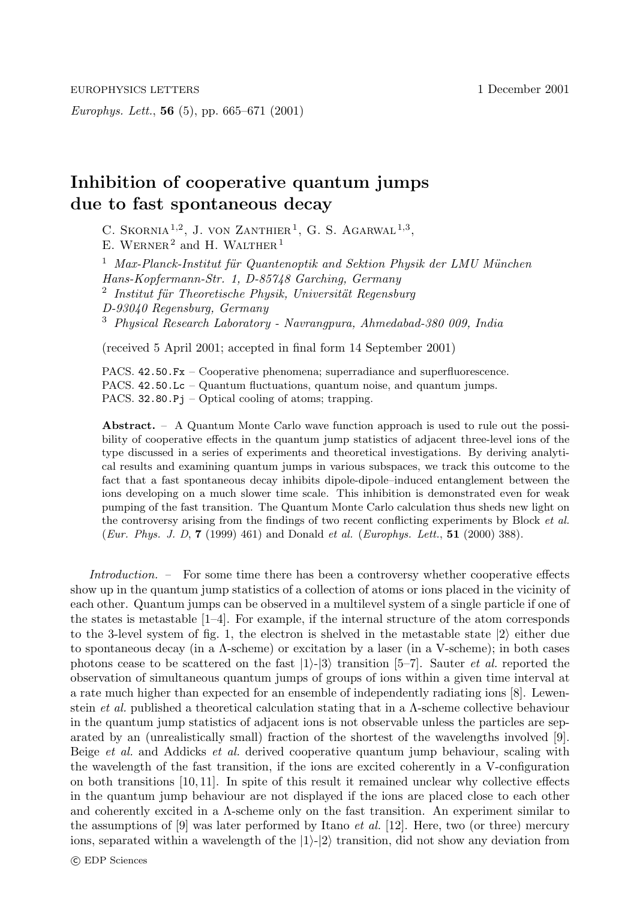Europhys. Lett., **56** (5), pp. 665–671 (2001)

## **Inhibition of cooperative quantum jumps due to fast spontaneous decay**

C. SKORNIA<sup>1,2</sup>, J. VON ZANTHIER<sup>1</sup>, G. S. AGARWAL<sup>1,3</sup>, E. WERNER<sup>2</sup> and H. WALTHER<sup>1</sup>

 $1$  Max-Planck-Institut für Quantenoptik and Sektion Physik der LMU München Hans-Kopfermann-Str. 1, D-85748 Garching, Germany  $2$  Institut für Theoretische Physik, Universität Regensburg D-93040 Regensburg, Germany <sup>3</sup> Physical Research Laboratory - Navrangpura, Ahmedabad-380 009, India

(received 5 April 2001; accepted in final form 14 September 2001)

PACS. 42.50.Fx – Cooperative phenomena; superradiance and superfluorescence. PACS. 42.50.Lc – Quantum fluctuations, quantum noise, and quantum jumps. PACS.  $32.80.Pj$  – Optical cooling of atoms; trapping.

**Abstract.** – A Quantum Monte Carlo wave function approach is used to rule out the possibility of cooperative effects in the quantum jump statistics of adjacent three-level ions of the type discussed in a series of experiments and theoretical investigations. By deriving analytical results and examining quantum jumps in various subspaces, we track this outcome to the fact that a fast spontaneous decay inhibits dipole-dipole–induced entanglement between the ions developing on a much slower time scale. This inhibition is demonstrated even for weak pumping of the fast transition. The Quantum Monte Carlo calculation thus sheds new light on the controversy arising from the findings of two recent conflicting experiments by Block *et al.* (Eur. Phys. J. D, **7** (1999) 461) and Donald et al. (Europhys. Lett., **51** (2000) 388).

Introduction. – For some time there has been a controversy whether cooperative effects show up in the quantum jump statistics of a collection of atoms or ions placed in the vicinity of each other. Quantum jumps can be observed in a multilevel system of a single particle if one of the states is metastable  $[1-4]$ . For example, if the internal structure of the atom corresponds to the 3-level system of fig. 1, the electron is shelved in the metastable state  $|2\rangle$  either due to spontaneous decay (in a Λ-scheme) or excitation by a laser (in a V-scheme); in both cases photons cease to be scattered on the fast  $|1\rangle$ - $|3\rangle$  transition [5–7]. Sauter *et al.* reported the observation of simultaneous quantum jumps of groups of ions within a given time interval at a rate much higher than expected for an ensemble of independently radiating ions [8]. Lewenstein et al. published a theoretical calculation stating that in a Λ-scheme collective behaviour in the quantum jump statistics of adjacent ions is not observable unless the particles are separated by an (unrealistically small) fraction of the shortest of the wavelengths involved [9]. Beige *et al.* and Addicks *et al.* derived cooperative quantum jump behaviour, scaling with the wavelength of the fast transition, if the ions are excited coherently in a V-configuration on both transitions [10, 11]. In spite of this result it remained unclear why collective effects in the quantum jump behaviour are not displayed if the ions are placed close to each other and coherently excited in a Λ-scheme only on the fast transition. An experiment similar to the assumptions of  $[9]$  was later performed by Itano *et al.* [12]. Here, two (or three) mercury ions, separated within a wavelength of the  $|1\rangle$ - $|2\rangle$  transition, did not show any deviation from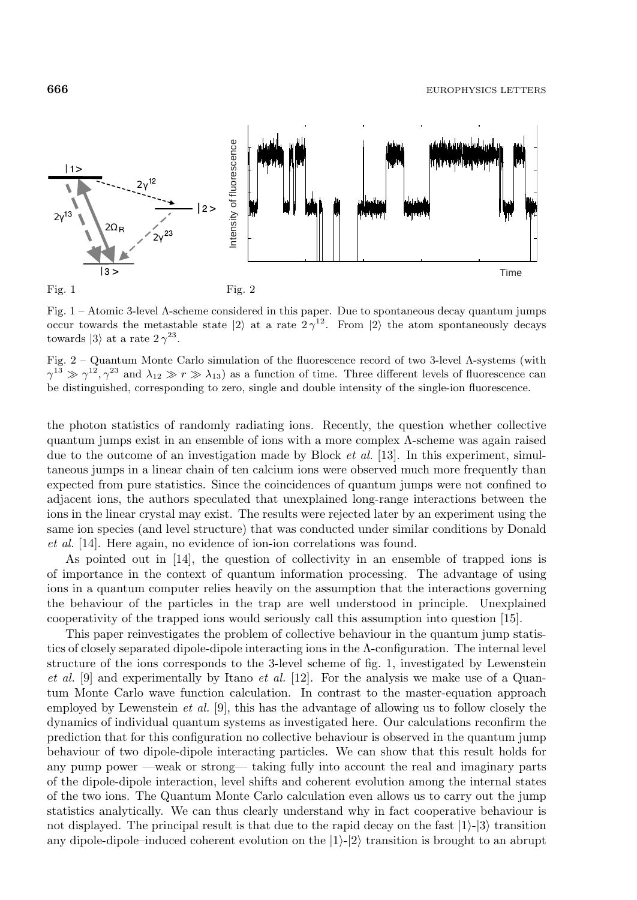

Fig. 1 – Atomic 3-level Λ-scheme considered in this paper. Due to spontaneous decay quantum jumps occur towards the metastable state  $|2\rangle$  at a rate  $2\gamma^{12}$ . From  $|2\rangle$  the atom spontaneously decays towards  $|3\rangle$  at a rate  $2\gamma^{23}$ .

Fig. 2 – Quantum Monte Carlo simulation of the fluorescence record of two 3-level Λ-systems (with  $\gamma^{13} \gg \gamma^{12}, \gamma^{23}$  and  $\lambda_{12} \gg r \gg \lambda_{13}$ ) as a function of time. Three different levels of fluorescence can be distinguished, corresponding to zero, single and double intensity of the single-ion fluorescence.

the photon statistics of randomly radiating ions. Recently, the question whether collective quantum jumps exist in an ensemble of ions with a more complex Λ-scheme was again raised due to the outcome of an investigation made by Block *et al.* [13]. In this experiment, simultaneous jumps in a linear chain of ten calcium ions were observed much more frequently than expected from pure statistics. Since the coincidences of quantum jumps were not confined to adjacent ions, the authors speculated that unexplained long-range interactions between the ions in the linear crystal may exist. The results were rejected later by an experiment using the same ion species (and level structure) that was conducted under similar conditions by Donald et al. [14]. Here again, no evidence of ion-ion correlations was found.

As pointed out in [14], the question of collectivity in an ensemble of trapped ions is of importance in the context of quantum information processing. The advantage of using ions in a quantum computer relies heavily on the assumption that the interactions governing the behaviour of the particles in the trap are well understood in principle. Unexplained cooperativity of the trapped ions would seriously call this assumption into question [15].

This paper reinvestigates the problem of collective behaviour in the quantum jump statistics of closely separated dipole-dipole interacting ions in the Λ-configuration. The internal level structure of the ions corresponds to the 3-level scheme of fig. 1, investigated by Lewenstein et al.  $[9]$  and experimentally by Itano et al.  $[12]$ . For the analysis we make use of a Quantum Monte Carlo wave function calculation. In contrast to the master-equation approach employed by Lewenstein *et al.* [9], this has the advantage of allowing us to follow closely the dynamics of individual quantum systems as investigated here. Our calculations reconfirm the prediction that for this configuration no collective behaviour is observed in the quantum jump behaviour of two dipole-dipole interacting particles. We can show that this result holds for any pump power —weak or strong— taking fully into account the real and imaginary parts of the dipole-dipole interaction, level shifts and coherent evolution among the internal states of the two ions. The Quantum Monte Carlo calculation even allows us to carry out the jump statistics analytically. We can thus clearly understand why in fact cooperative behaviour is not displayed. The principal result is that due to the rapid decay on the fast  $|1\rangle$ - $|3\rangle$  transition any dipole-dipole–induced coherent evolution on the  $|1\rangle$ - $|2\rangle$  transition is brought to an abrupt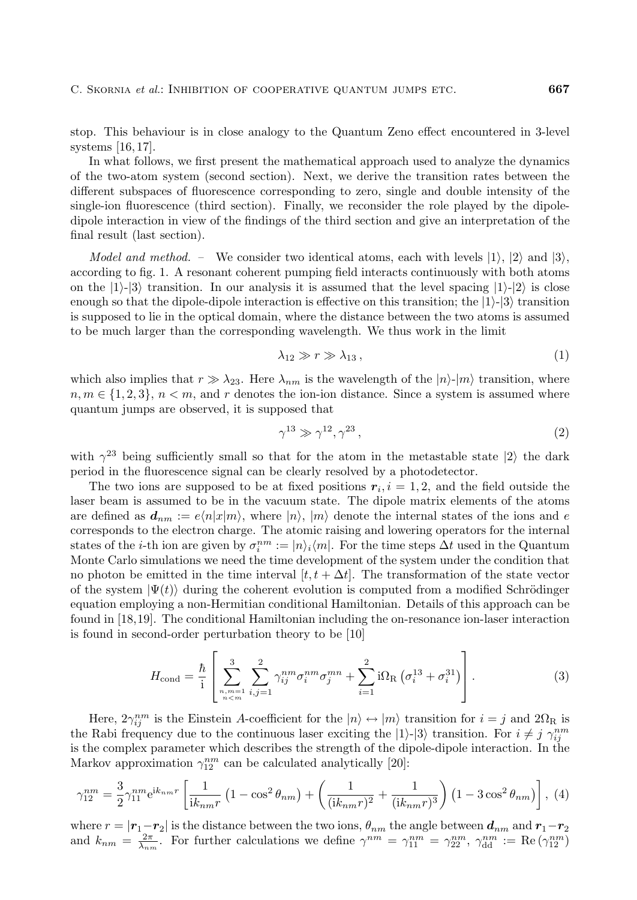stop. This behaviour is in close analogy to the Quantum Zeno effect encountered in 3-level systems [16, 17].

In what follows, we first present the mathematical approach used to analyze the dynamics of the two-atom system (second section). Next, we derive the transition rates between the different subspaces of fluorescence corresponding to zero, single and double intensity of the single-ion fluorescence (third section). Finally, we reconsider the role played by the dipoledipole interaction in view of the findings of the third section and give an interpretation of the final result (last section).

*Model and method.* – We consider two identical atoms, each with levels  $|1\rangle$ ,  $|2\rangle$  and  $|3\rangle$ , according to fig. 1. A resonant coherent pumping field interacts continuously with both atoms on the  $|1\rangle$ - $|3\rangle$  transition. In our analysis it is assumed that the level spacing  $|1\rangle$ - $|2\rangle$  is close enough so that the dipole-dipole interaction is effective on this transition; the  $|1\rangle$ - $|3\rangle$  transition is supposed to lie in the optical domain, where the distance between the two atoms is assumed to be much larger than the corresponding wavelength. We thus work in the limit

$$
\lambda_{12} \gg r \gg \lambda_{13} \,, \tag{1}
$$

which also implies that  $r \gg \lambda_{23}$ . Here  $\lambda_{nm}$  is the wavelength of the  $|n\rangle$ - $|m\rangle$  transition, where  $n, m \in \{1, 2, 3\}, n < m$ , and r denotes the ion-ion distance. Since a system is assumed where quantum jumps are observed, it is supposed that

$$
\gamma^{13} \gg \gamma^{12}, \gamma^{23}, \tag{2}
$$

with  $\gamma^{23}$  being sufficiently small so that for the atom in the metastable state  $|2\rangle$  the dark period in the fluorescence signal can be clearly resolved by a photodetector.

The two ions are supposed to be at fixed positions  $r_i$ ,  $i = 1, 2$ , and the field outside the laser beam is assumed to be in the vacuum state. The dipole matrix elements of the atoms are defined as  $d_{nm} := e\langle n|x|m\rangle$ , where  $|n\rangle$ ,  $|m\rangle$  denote the internal states of the ions and e corresponds to the electron charge. The atomic raising and lowering operators for the internal states of the *i*-th ion are given by  $\sigma_i^{nm} := |n\rangle_i \langle m|$ . For the time steps  $\Delta t$  used in the Quantum Monte Carlo simulations we need the time development of the system under the condition that no photon be emitted in the time interval  $[t, t + \Delta t]$ . The transformation of the state vector of the system  $|\Psi(t)\rangle$  during the coherent evolution is computed from a modified Schrödinger equation employing a non-Hermitian conditional Hamiltonian. Details of this approach can be found in [18,19]. The conditional Hamiltonian including the on-resonance ion-laser interaction is found in second-order perturbation theory to be [10]

$$
H_{\text{cond}} = \frac{\hbar}{i} \left[ \sum_{\substack{n,m=1 \ n < m}}^3 \sum_{i,j=1}^2 \gamma_{ij}^{nm} \sigma_i^{nm} \sigma_j^{mn} + \sum_{i=1}^2 i \Omega_{\text{R}} \left( \sigma_i^{13} + \sigma_i^{31} \right) \right]. \tag{3}
$$

Here,  $2\gamma_{ij}^{nm}$  is the Einstein A-coefficient for the  $|n\rangle \leftrightarrow |m\rangle$  transition for  $i = j$  and  $2\Omega_{\rm R}$  is the Rabi frequency due to the continuous laser exciting the  $|1\rangle$ - $|3\rangle$  transition. For  $i \neq j$   $\gamma_{ij}^{nm}$ is the complex parameter which describes the strength of the dipole-dipole interaction. In the Markov approximation  $\gamma_{12}^{nm}$  can be calculated analytically [20]:

$$
\gamma_{12}^{nm} = \frac{3}{2} \gamma_{11}^{nm} e^{ik_{nm}r} \left[ \frac{1}{ik_{nm}r} \left( 1 - \cos^2 \theta_{nm} \right) + \left( \frac{1}{(ik_{nm}r)^2} + \frac{1}{(ik_{nm}r)^3} \right) \left( 1 - 3\cos^2 \theta_{nm} \right) \right], (4)
$$

where  $r = |\mathbf{r}_1 - \mathbf{r}_2|$  is the distance between the two ions,  $\theta_{nm}$  the angle between  $\mathbf{d}_{nm}$  and  $\mathbf{r}_1 - \mathbf{r}_2$ and  $k_{nm} = \frac{2\pi}{\lambda_{nm}}$ . For further calculations we define  $\gamma^{nm} = \gamma_{11}^{nm} = \gamma_{22}^{nm}$ ,  $\gamma_{dd}^{nm} := \text{Re}(\gamma_{12}^{nm})$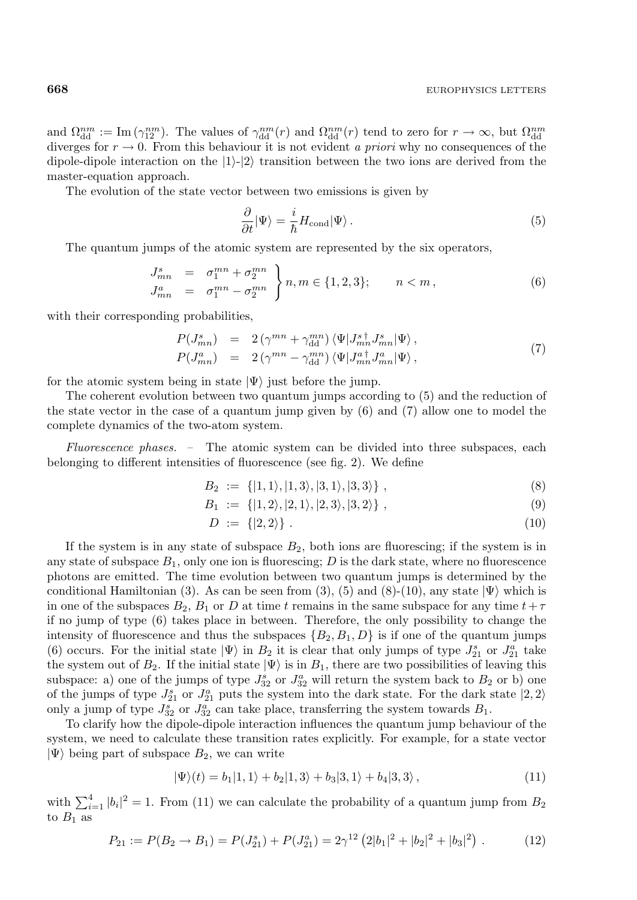and  $\Omega_{\text{dd}}^{nm} := \text{Im}(\gamma_{12}^{nm})$ . The values of  $\gamma_{\text{dd}}^{nm}(r)$  and  $\Omega_{\text{dd}}^{nm}(r)$  tend to zero for  $r \to \infty$ , but  $\Omega_{\text{dd}}^{nm}$ diverges for  $r \to 0$ . From this behaviour it is not evident a priori why no consequences of the dipole-dipole interaction on the  $|1\rangle$ - $|2\rangle$  transition between the two ions are derived from the master-equation approach.

The evolution of the state vector between two emissions is given by

$$
\frac{\partial}{\partial t}|\Psi\rangle = \frac{i}{\hbar}H_{\text{cond}}|\Psi\rangle.
$$
\n(5)

The quantum jumps of the atomic system are represented by the six operators,

$$
J_{mn}^s = \sigma_1^{mn} + \sigma_2^{mn}
$$
  
\n
$$
J_{mn}^a = \sigma_1^{mn} - \sigma_2^{mn}
$$
  
\n
$$
n \in \{1, 2, 3\}; \quad n < m,
$$
\n(6)

with their corresponding probabilities,

$$
P(J_{mn}^s) = 2(\gamma^{mn} + \gamma_{\rm dd}^{mn}) \langle \Psi | J_{mn}^{s\dagger} J_{mn}^s | \Psi \rangle, P(J_{mn}^a) = 2(\gamma^{mn} - \gamma_{\rm dd}^{mn}) \langle \Psi | J_{mn}^{a\dagger} J_{mn}^a | \Psi \rangle,
$$
 (7)

for the atomic system being in state  $|\Psi\rangle$  just before the jump.

The coherent evolution between two quantum jumps according to (5) and the reduction of the state vector in the case of a quantum jump given by (6) and (7) allow one to model the complete dynamics of the two-atom system.

Fluorescence phases. – The atomic system can be divided into three subspaces, each belonging to different intensities of fluorescence (see fig. 2). We define

$$
B_2 := \{ |1,1\rangle, |1,3\rangle, |3,1\rangle, |3,3\rangle \}, \tag{8}
$$

$$
B_1 := \{ |1, 2\rangle, |2, 1\rangle, |2, 3\rangle, |3, 2\rangle \}, \tag{9}
$$

$$
D := \{|2, 2\rangle\} \tag{10}
$$

If the system is in any state of subspace  $B_2$ , both ions are fluorescing; if the system is in any state of subspace  $B_1$ , only one ion is fluorescing; D is the dark state, where no fluorescence photons are emitted. The time evolution between two quantum jumps is determined by the conditional Hamiltonian (3). As can be seen from (3), (5) and (8)-(10), any state  $|\Psi\rangle$  which is in one of the subspaces  $B_2$ ,  $B_1$  or D at time t remains in the same subspace for any time  $t+\tau$ if no jump of type (6) takes place in between. Therefore, the only possibility to change the intensity of fluorescence and thus the subspaces  $\{B_2, B_1, D\}$  is if one of the quantum jumps (6) occurs. For the initial state  $|\Psi\rangle$  in  $B_2$  it is clear that only jumps of type  $J_{21}^s$  or  $J_{21}^a$  take the system out of  $B_2$ . If the initial state  $|\Psi\rangle$  is in  $B_1$ , there are two possibilities of leaving this subspace: a) one of the jumps of type  $J_{32}^s$  or  $J_{32}^a$  will return the system back to  $B_2$  or b) one of the jumps of type  $J_{21}^s$  or  $J_{21}^a$  puts the system into the dark state. For the dark state  $|2,2\rangle$ only a jump of type  $J_{32}^s$  or  $J_{32}^a$  can take place, transferring the system towards  $B_1$ .

To clarify how the dipole-dipole interaction influences the quantum jump behaviour of the system, we need to calculate these transition rates explicitly. For example, for a state vector  $|\Psi\rangle$  being part of subspace  $B_2$ , we can write

$$
|\Psi\rangle(t) = b_1|1,1\rangle + b_2|1,3\rangle + b_3|3,1\rangle + b_4|3,3\rangle, \qquad (11)
$$

with  $\sum_{i=1}^{4} |b_i|^2 = 1$ . From (11) we can calculate the probability of a quantum jump from  $B_2$ to  $B_1$  as

$$
P_{21} := P(B_2 \to B_1) = P(J_{21}^s) + P(J_{21}^a) = 2\gamma^{12} \left( 2|b_1|^2 + |b_2|^2 + |b_3|^2 \right).
$$
 (12)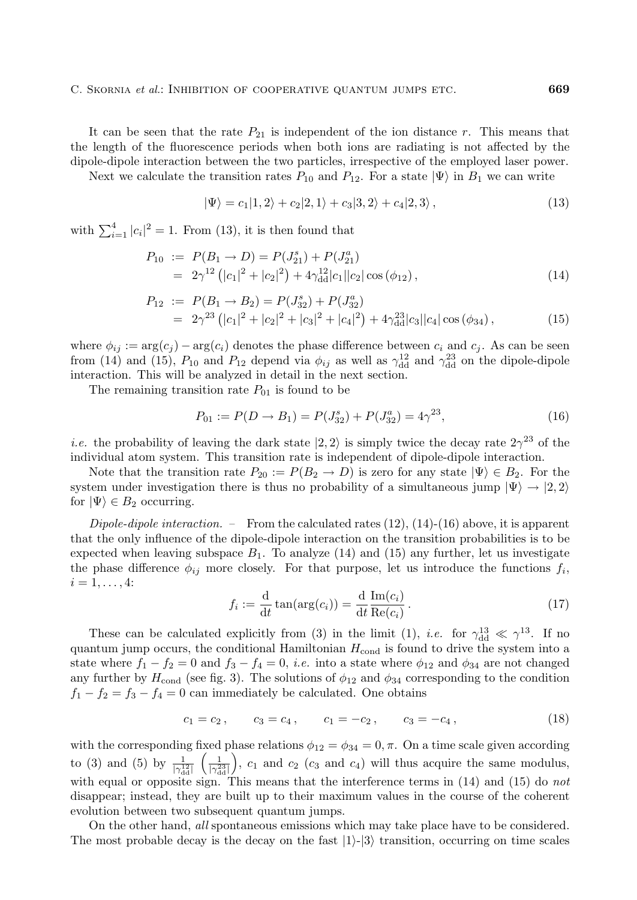It can be seen that the rate  $P_{21}$  is independent of the ion distance r. This means that the length of the fluorescence periods when both ions are radiating is not affected by the dipole-dipole interaction between the two particles, irrespective of the employed laser power.

Next we calculate the transition rates  $P_{10}$  and  $P_{12}$ . For a state  $|\Psi\rangle$  in  $B_1$  we can write

$$
|\Psi\rangle = c_1|1,2\rangle + c_2|2,1\rangle + c_3|3,2\rangle + c_4|2,3\rangle, \qquad (13)
$$

with  $\sum_{i=1}^{4} |c_i|^2 = 1$ . From (13), it is then found that

$$
P_{10} := P(B_1 \to D) = P(J_{21}^s) + P(J_{21}^a)
$$
  
=  $2\gamma^{12} (|c_1|^2 + |c_2|^2) + 4\gamma_{\text{dd}}^{12} |c_1||c_2|\cos(\phi_{12}),$  (14)

$$
P_{12} := P(B_1 \to B_2) = P(J_{32}^s) + P(J_{32}^a)
$$
  
=  $2\gamma^{23} (|c_1|^2 + |c_2|^2 + |c_3|^2 + |c_4|^2) + 4\gamma_{\text{dd}}^{23} |c_3||c_4|\cos(\phi_{34}),$  (15)

where  $\phi_{ij} := \arg(c_j) - \arg(c_i)$  denotes the phase difference between  $c_i$  and  $c_j$ . As can be seen from (14) and (15),  $P_{10}$  and  $P_{12}$  depend via  $\phi_{ij}$  as well as  $\gamma_{dd}^{12}$  and  $\gamma_{dd}^{23}$  on the dipole-dipole interaction. This will be analyzed in detail in the next section.

The remaining transition rate  $P_{01}$  is found to be

$$
P_{01} := P(D \to B_1) = P(J_{32}^s) + P(J_{32}^a) = 4\gamma^{23},\tag{16}
$$

*i.e.* the probability of leaving the dark state  $|2, 2\rangle$  is simply twice the decay rate  $2\gamma^{23}$  of the individual atom system. This transition rate is independent of dipole-dipole interaction.

Note that the transition rate  $P_{20} := P(B_2 \to D)$  is zero for any state  $|\Psi\rangle \in B_2$ . For the system under investigation there is thus no probability of a simultaneous jump  $|\Psi\rangle \rightarrow |2, 2\rangle$ for  $|\Psi\rangle \in B_2$  occurring.

Dipole-dipole interaction. – From the calculated rates  $(12)$ ,  $(14)$ - $(16)$  above, it is apparent that the only influence of the dipole-dipole interaction on the transition probabilities is to be expected when leaving subspace  $B_1$ . To analyze (14) and (15) any further, let us investigate the phase difference  $\phi_{ij}$  more closely. For that purpose, let us introduce the functions  $f_i$ ,  $i = 1, \ldots, 4$ :

$$
f_i := \frac{\mathrm{d}}{\mathrm{d}t} \tan(\arg(c_i)) = \frac{\mathrm{d}}{\mathrm{d}t} \frac{\mathrm{Im}(c_i)}{\mathrm{Re}(c_i)}.
$$
 (17)

These can be calculated explicitly from (3) in the limit (1), *i.e.* for  $\gamma_{dd}^{13} \ll \gamma^{13}$ . If no quantum jump occurs, the conditional Hamiltonian  $H_{\text{cond}}$  is found to drive the system into a state where  $f_1 - f_2 = 0$  and  $f_3 - f_4 = 0$ , *i.e.* into a state where  $\phi_{12}$  and  $\phi_{34}$  are not changed any further by  $H_{\text{cond}}$  (see fig. 3). The solutions of  $\phi_{12}$  and  $\phi_{34}$  corresponding to the condition  $f_1 - f_2 = f_3 - f_4 = 0$  can immediately be calculated. One obtains

$$
c_1 = c_2, \qquad c_3 = c_4, \qquad c_1 = -c_2, \qquad c_3 = -c_4, \tag{18}
$$

with the corresponding fixed phase relations  $\phi_{12} = \phi_{34} = 0, \pi$ . On a time scale given according to (3) and (5) by  $\frac{1}{|\gamma_{dd}^{12}|}$  $\left(\frac{1}{|\gamma_{\rm dd}^{23}|}\right)$ ),  $c_1$  and  $c_2$  ( $c_3$  and  $c_4$ ) will thus acquire the same modulus, with equal or opposite sign. This means that the interference terms in  $(14)$  and  $(15)$  do not disappear; instead, they are built up to their maximum values in the course of the coherent evolution between two subsequent quantum jumps.

On the other hand, all spontaneous emissions which may take place have to be considered. The most probable decay is the decay on the fast  $|1\rangle$ - $|3\rangle$  transition, occurring on time scales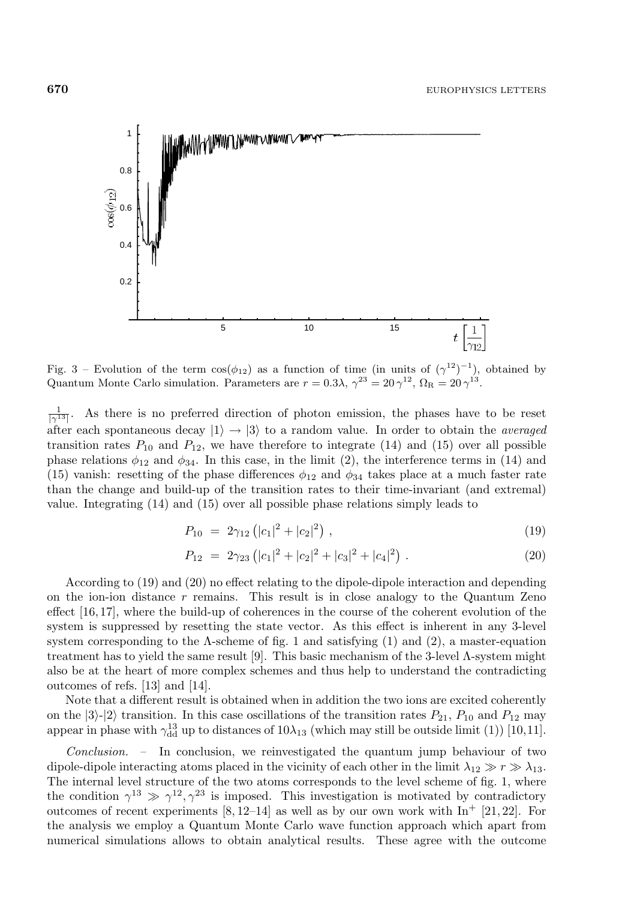

Fig. 3 – Evolution of the term  $cos(\phi_{12})$  as a function of time (in units of  $(\gamma^{12})^{-1}$ ), obtained by Quantum Monte Carlo simulation. Parameters are  $r = 0.3\lambda$ ,  $\gamma^{23} = 20\gamma^{12}$ ,  $\Omega_{\rm R} = 20\gamma^{13}$ .

 $\frac{1}{\vert \gamma^{13} \vert}$ . As there is no preferred direction of photon emission, the phases have to be reset after each spontaneous decay  $|1\rangle \rightarrow |3\rangle$  to a random value. In order to obtain the *averaged* transition rates  $P_{10}$  and  $P_{12}$ , we have therefore to integrate (14) and (15) over all possible phase relations  $\phi_{12}$  and  $\phi_{34}$ . In this case, in the limit (2), the interference terms in (14) and (15) vanish: resetting of the phase differences  $\phi_{12}$  and  $\phi_{34}$  takes place at a much faster rate than the change and build-up of the transition rates to their time-invariant (and extremal) value. Integrating (14) and (15) over all possible phase relations simply leads to

$$
P_{10} = 2\gamma_{12} \left( |c_1|^2 + |c_2|^2 \right), \tag{19}
$$

$$
P_{12} = 2\gamma_{23} \left( |c_1|^2 + |c_2|^2 + |c_3|^2 + |c_4|^2 \right). \tag{20}
$$

According to (19) and (20) no effect relating to the dipole-dipole interaction and depending on the ion-ion distance  $r$  remains. This result is in close analogy to the Quantum Zeno effect [16, 17], where the build-up of coherences in the course of the coherent evolution of the system is suppressed by resetting the state vector. As this effect is inherent in any 3-level system corresponding to the  $\Lambda$ -scheme of fig. 1 and satisfying (1) and (2), a master-equation treatment has to yield the same result [9]. This basic mechanism of the 3-level  $\Lambda$ -system might also be at the heart of more complex schemes and thus help to understand the contradicting outcomes of refs. [13] and [14].

Note that a different result is obtained when in addition the two ions are excited coherently on the  $|3\rangle$ - $|2\rangle$  transition. In this case oscillations of the transition rates  $P_{21}$ ,  $P_{10}$  and  $P_{12}$  may appear in phase with  $\gamma_{dd}^{13}$  up to distances of  $10\lambda_{13}$  (which may still be outside limit (1)) [10,11].

Conclusion. – In conclusion, we reinvestigated the quantum jump behaviour of two dipole-dipole interacting atoms placed in the vicinity of each other in the limit  $\lambda_{12} \gg r \gg \lambda_{13}$ . The internal level structure of the two atoms corresponds to the level scheme of fig. 1, where the condition  $\gamma^{13} \gg \gamma^{12}, \gamma^{23}$  is imposed. This investigation is motivated by contradictory outcomes of recent experiments  $[8, 12-14]$  as well as by our own work with  $\text{In}^+$   $[21, 22]$ . For the analysis we employ a Quantum Monte Carlo wave function approach which apart from numerical simulations allows to obtain analytical results. These agree with the outcome